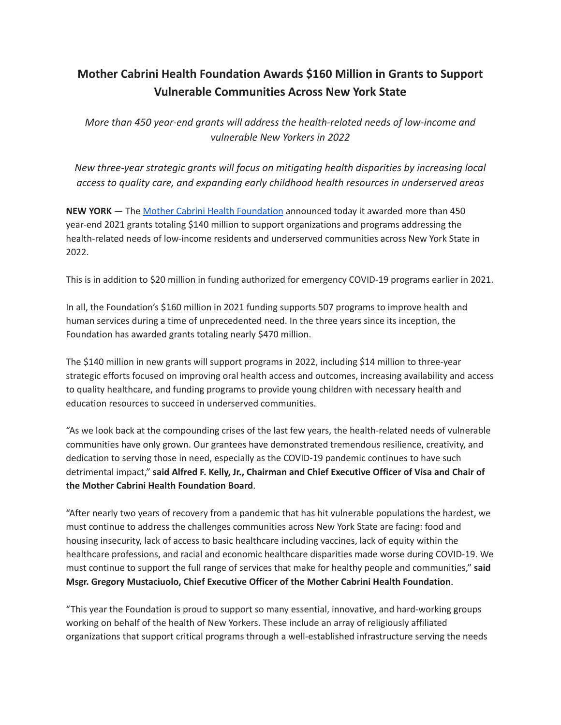## **Mother Cabrini Health Foundation Awards \$160 Million in Grants to Support Vulnerable Communities Across New York State**

*More than 450 year-end grants will address the health-related needs of low-income and vulnerable New Yorkers in 2022*

*New three-year strategic grants will focus on mitigating health disparities by increasing local access to quality care, and expanding early childhood health resources in underserved areas*

**NEW YORK** — The Mother Cabrini Health [Foundation](https://www.cabrinihealth.org/) announced today it awarded more than 450 year-end 2021 grants totaling \$140 million to support organizations and programs addressing the health-related needs of low-income residents and underserved communities across New York State in 2022.

This is in addition to \$20 million in funding authorized for emergency COVID-19 programs earlier in 2021.

In all, the Foundation's \$160 million in 2021 funding supports 507 programs to improve health and human services during a time of unprecedented need. In the three years since its inception, the Foundation has awarded grants totaling nearly \$470 million.

The \$140 million in new grants will support programs in 2022, including \$14 million to three-year strategic efforts focused on improving oral health access and outcomes, increasing availability and access to quality healthcare, and funding programs to provide young children with necessary health and education resources to succeed in underserved communities.

"As we look back at the compounding crises of the last few years, the health-related needs of vulnerable communities have only grown. Our grantees have demonstrated tremendous resilience, creativity, and dedication to serving those in need, especially as the COVID-19 pandemic continues to have such detrimental impact," **said Alfred F. Kelly, Jr., Chairman and Chief Executive Officer of Visa and Chair of the Mother Cabrini Health Foundation Board**.

"After nearly two years of recovery from a pandemic that has hit vulnerable populations the hardest, we must continue to address the challenges communities across New York State are facing: food and housing insecurity, lack of access to basic healthcare including vaccines, lack of equity within the healthcare professions, and racial and economic healthcare disparities made worse during COVID-19. We must continue to support the full range of services that make for healthy people and communities," **said Msgr. Gregory Mustaciuolo, Chief Executive Officer of the Mother Cabrini Health Foundation**.

"This year the Foundation is proud to support so many essential, innovative, and hard-working groups working on behalf of the health of New Yorkers. These include an array of religiously affiliated organizations that support critical programs through a well-established infrastructure serving the needs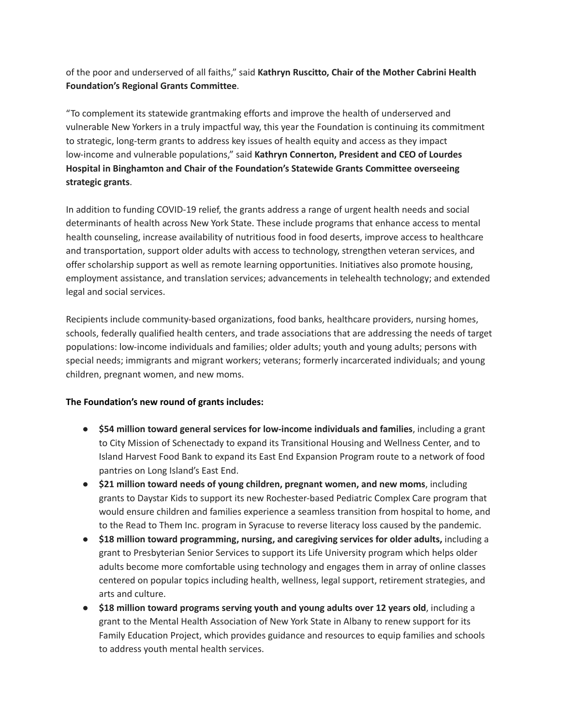of the poor and underserved of all faiths," said **Kathryn Ruscitto, Chair of the Mother Cabrini Health Foundation's Regional Grants Committee**.

"To complement its statewide grantmaking efforts and improve the health of underserved and vulnerable New Yorkers in a truly impactful way, this year the Foundation is continuing its commitment to strategic, long-term grants to address key issues of health equity and access as they impact low-income and vulnerable populations," said **Kathryn Connerton, President and CEO of Lourdes Hospital in Binghamton and Chair of the Foundation's Statewide Grants Committee overseeing strategic grants**.

In addition to funding COVID-19 relief, the grants address a range of urgent health needs and social determinants of health across New York State. These include programs that enhance access to mental health counseling, increase availability of nutritious food in food deserts, improve access to healthcare and transportation, support older adults with access to technology, strengthen veteran services, and offer scholarship support as well as remote learning opportunities. Initiatives also promote housing, employment assistance, and translation services; advancements in telehealth technology; and extended legal and social services.

Recipients include community-based organizations, food banks, healthcare providers, nursing homes, schools, federally qualified health centers, and trade associations that are addressing the needs of target populations: low-income individuals and families; older adults; youth and young adults; persons with special needs; immigrants and migrant workers; veterans; formerly incarcerated individuals; and young children, pregnant women, and new moms.

## **The Foundation's new round of grants includes:**

- **● \$54 million toward general services for low-income individuals and families**, including a grant to City Mission of Schenectady to expand its Transitional Housing and Wellness Center, and to Island Harvest Food Bank to expand its East End Expansion Program route to a network of food pantries on Long Island's East End.
- **\$21 million toward needs of young children, pregnant women, and new moms**, including grants to Daystar Kids to support its new Rochester-based Pediatric Complex Care program that would ensure children and families experience a seamless transition from hospital to home, and to the Read to Them Inc. program in Syracuse to reverse literacy loss caused by the pandemic.
- **\$18 million toward programming, nursing, and caregiving services for older adults,** including a grant to Presbyterian Senior Services to support its Life University program which helps older adults become more comfortable using technology and engages them in array of online classes centered on popular topics including health, wellness, legal support, retirement strategies, and arts and culture.
- **\$18 million toward programs serving youth and young adults over 12 years old**, including a grant to the Mental Health Association of New York State in Albany to renew support for its Family Education Project, which provides guidance and resources to equip families and schools to address youth mental health services.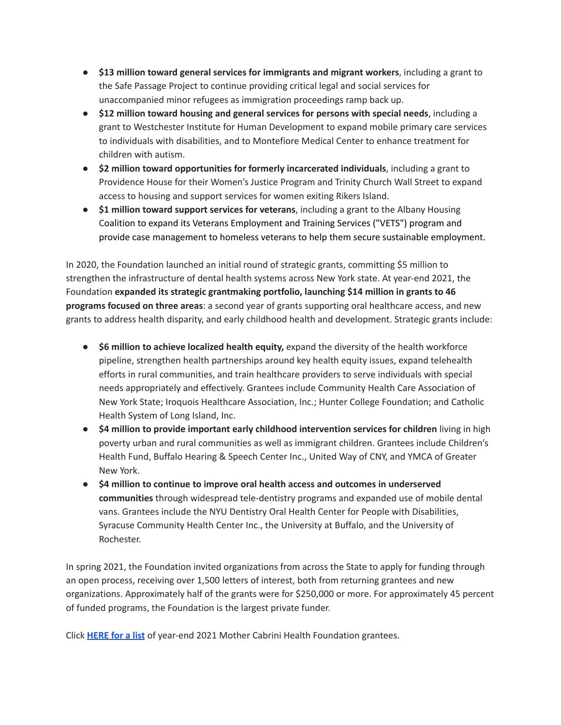- **\$13 million toward general services for immigrants and migrant workers**, including a grant to the Safe Passage Project to continue providing critical legal and social services for unaccompanied minor refugees as immigration proceedings ramp back up.
- **\$12 million toward housing and general services for persons with special needs**, including a grant to Westchester Institute for Human Development to expand mobile primary care services to individuals with disabilities, and to Montefiore Medical Center to enhance treatment for children with autism.
- **\$2 million toward opportunities for formerly incarcerated individuals**, including a grant to Providence House for their Women's Justice Program and Trinity Church Wall Street to expand access to housing and support services for women exiting Rikers Island.
- **\$1 million toward support services for veterans**, including a grant to the Albany Housing Coalition to expand its Veterans Employment and Training Services ("VETS") program and provide case management to homeless veterans to help them secure sustainable employment.

In 2020, the Foundation launched an initial round of strategic grants, committing \$5 million to strengthen the infrastructure of dental health systems across New York state. At year-end 2021, the Foundation **expanded its strategic grantmaking portfolio, launching \$14 million in grants to 46 programs focused on three areas**: a second year of grants supporting oral healthcare access, and new grants to address health disparity, and early childhood health and development. Strategic grants include:

- **\$6 million to achieve localized health equity,** expand the diversity of the health workforce pipeline, strengthen health partnerships around key health equity issues, expand telehealth efforts in rural communities, and train healthcare providers to serve individuals with special needs appropriately and effectively. Grantees include Community Health Care Association of New York State; Iroquois Healthcare Association, Inc.; Hunter College Foundation; and Catholic Health System of Long Island, Inc.
- **\$4 million to provide important early childhood intervention services for children** living in high poverty urban and rural communities as well as immigrant children. Grantees include Children's Health Fund, Buffalo Hearing & Speech Center Inc., United Way of CNY, and YMCA of Greater New York.
- **\$4 million to continue to improve oral health access and outcomes in underserved communities** through widespread tele-dentistry programs and expanded use of mobile dental vans. Grantees include the NYU Dentistry Oral Health Center for People with Disabilities, Syracuse Community Health Center Inc., the University at Buffalo, and the University of Rochester.

In spring 2021, the Foundation invited organizations from across the State to apply for funding through an open process, receiving over 1,500 letters of interest, both from returning grantees and new organizations. Approximately half of the grants were for \$250,000 or more. For approximately 45 percent of funded programs, the Foundation is the largest private funder.

Click **[HERE](https://cabrinihealth.org/wp-content/uploads/2022/01/MCHF-2021-Year-End-Grants-for-2022-Programs-1_20-2021-Year-End-Grants-for-2022-Programs.pdf) for a list** of year-end 2021 Mother Cabrini Health Foundation grantees.